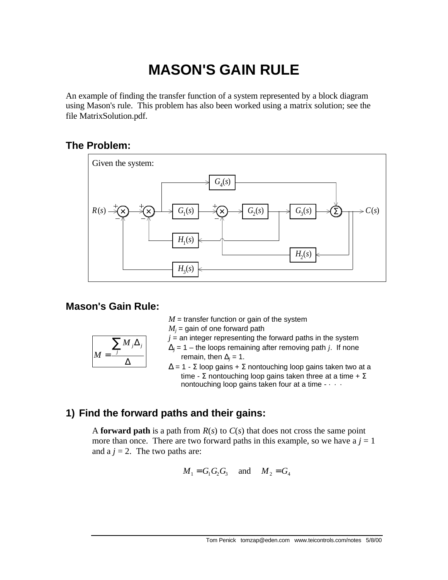# **MASON'S GAIN RULE**

An example of finding the transfer function of a system represented by a block diagram using Mason's rule. This problem has also been worked using a matrix solution; see the file MatrixSolution.pdf.

## **The Problem:**



## **Mason's Gain Rule:**

 $M =$  transfer function or gain of the system

 $M_j$  = gain of one forward path

 $j =$  an integer representing the forward paths in the system  $\Delta_j$  = 1 – the loops remaining after removing path *j*. If none

$$
M = \frac{\sum_{j} M_{j} \Delta_{j}}{\Delta}
$$

remain, then  $\Delta_j = 1$ .  $\Delta$  = 1 - Σ loop gains + Σ nontouching loop gains taken two at a time - Σ nontouching loop gains taken three at a time +  $\Sigma$ nontouching loop gains taken four at a time -  $\cdots$ 

# **1) Find the forward paths and their gains:**

A **forward path** is a path from  $R(s)$  to  $C(s)$  that does not cross the same point more than once. There are two forward paths in this example, so we have  $a j = 1$ and a  $j = 2$ . The two paths are:

$$
M_1 = G_1 G_2 G_3
$$
 and  $M_2 = G_4$